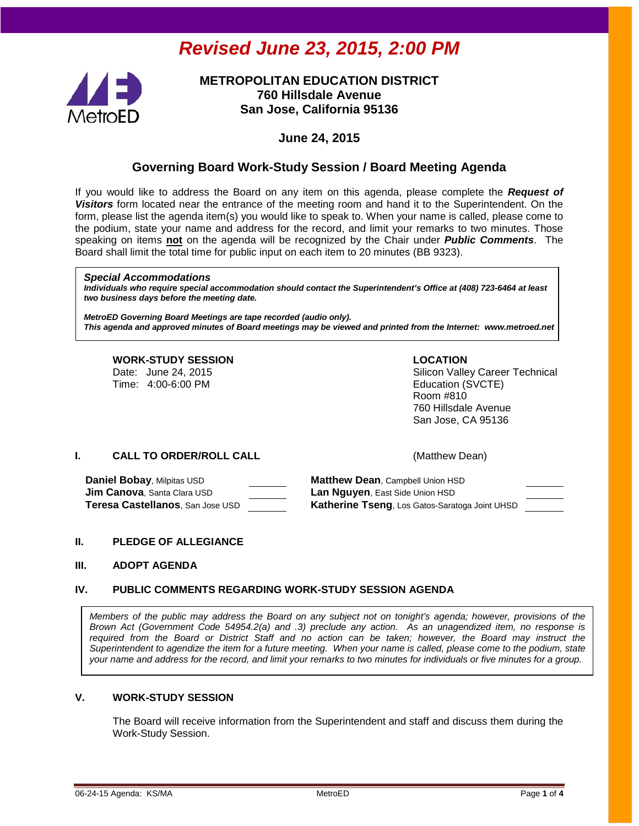# *Revised June 23, 2015, 2:00 PM*



## **METROPOLITAN EDUCATION DISTRICT 760 Hillsdale Avenue San Jose, California 95136**

## **June 24, 2015**

# **Governing Board Work-Study Session / Board Meeting Agenda**

If you would like to address the Board on any item on this agenda, please complete the *Request of Visitors* form located near the entrance of the meeting room and hand it to the Superintendent. On the form, please list the agenda item(s) you would like to speak to. When your name is called, please come to the podium, state your name and address for the record, and limit your remarks to two minutes. Those speaking on items **not** on the agenda will be recognized by the Chair under *Public Comments*. The Board shall limit the total time for public input on each item to 20 minutes (BB 9323).

#### *Special Accommodations*

*Individuals who require special accommodation should contact the Superintendent's Office at (408) 723-6464 at least two business days before the meeting date.*

*MetroED Governing Board Meetings are tape recorded (audio only). This agenda and approved minutes of Board meetings may be viewed and printed from the Internet: www.metroed.net*

# **WORK-STUDY SESSION LOCATION**

Date: June 24, 2015 <br>
Time: 4:00-6:00 PM 
Silicon Valley Career Technical<br>
Education (SVCTE) Education (SVCTE) Room #810 760 Hillsdale Avenue San Jose, CA 95136

#### **I. CALL TO ORDER/ROLL CALL CALL CALL** (Matthew Dean)

**Daniel Bobay, Milpitas USD <b>Matthew Dean**, Campbell Union HSD **Jim Canova**, Santa Clara USD **Lan Nguyen**, East Side Union HSD

**Teresa Castellanos**, San Jose USD **Katherine Tseng**, Los Gatos-Saratoga Joint UHSD

#### **II. PLEDGE OF ALLEGIANCE**

#### **III. ADOPT AGENDA**

#### **IV. PUBLIC COMMENTS REGARDING WORK-STUDY SESSION AGENDA**

*Members of the public may address the Board on any subject not on tonight's agenda; however, provisions of the Brown Act (Government Code 54954.2(a) and .3) preclude any action. As an unagendized item, no response is required from the Board or District Staff and no action can be taken; however, the Board may instruct the Superintendent to agendize the item for a future meeting. When your name is called, please come to the podium, state your name and address for the record, and limit your remarks to two minutes for individuals or five minutes for a group.*

#### **V. WORK-STUDY SESSION**

The Board will receive information from the Superintendent and staff and discuss them during the Work-Study Session.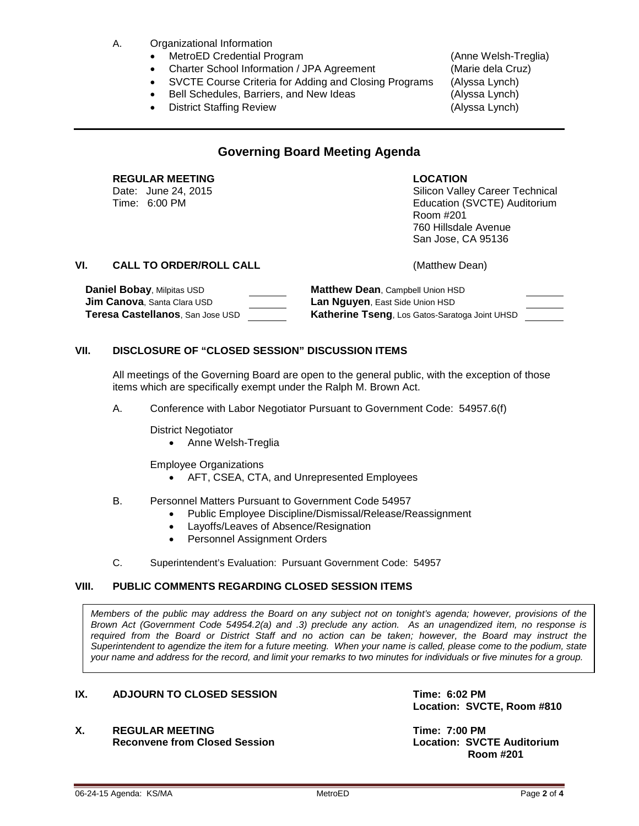- A. Organizational Information
	- MetroED Credential Program (Anne Welsh-Treglia)
	- Charter School Information / JPA Agreement (Marie dela Cruz)
	- SVCTE Course Criteria for Adding and Closing Programs (Alyssa Lynch)
	- Bell Schedules, Barriers, and New Ideas (Alyssa Lynch)
	- District Staffing Review (Alyssa Lynch)

# **Governing Board Meeting Agenda**

# **REGULAR MEETING LOCATION**

Date: June 24, 2015 <br>
Time: 6:00 PM<br>
Silicon Valley Career Technical<br>
Education (SVCTE) Auditorium Education (SVCTE) Auditorium Room #201 760 Hillsdale Avenue San Jose, CA 95136

### **VI. CALL TO ORDER/ROLL CALL** (Matthew Dean)

| Daniel Bobay, Milpitas USD               | <b>Matthew Dean, Campbell Union HSD</b>               |  |
|------------------------------------------|-------------------------------------------------------|--|
| <b>Jim Canova</b> , Santa Clara USD      | <b>Lan Nguyen, East Side Union HSD</b>                |  |
| <b>Teresa Castellanos</b> . San Jose USD | <b>Katherine Tseng, Los Gatos-Saratoga Joint UHSD</b> |  |

### **VII. DISCLOSURE OF "CLOSED SESSION" DISCUSSION ITEMS**

All meetings of the Governing Board are open to the general public, with the exception of those items which are specifically exempt under the Ralph M. Brown Act.

- A. Conference with Labor Negotiator Pursuant to Government Code: 54957.6(f)
	- District Negotiator
		- Anne Welsh-Treglia
	- Employee Organizations
		- AFT, CSEA, CTA, and Unrepresented Employees
- B. Personnel Matters Pursuant to Government Code 54957
	- Public Employee Discipline/Dismissal/Release/Reassignment
	- Layoffs/Leaves of Absence/Resignation
	- Personnel Assignment Orders
- C. Superintendent's Evaluation: Pursuant Government Code: 54957

# **VIII. PUBLIC COMMENTS REGARDING CLOSED SESSION ITEMS**

*Members of the public may address the Board on any subject not on tonight's agenda; however, provisions of the Brown Act (Government Code 54954.2(a) and .3) preclude any action. As an unagendized item, no response is required from the Board or District Staff and no action can be taken; however, the Board may instruct the Superintendent to agendize the item for a future meeting. When your name is called, please come to the podium, state your name and address for the record, and limit your remarks to two minutes for individuals or five minutes for a group.*

## **IX.** ADJOURN TO CLOSED SESSION **TIME: 6:02 PM**

**X. REGULAR MEETING Time: 7:00 PM Reconvene from Closed Session** 

**Location: SVCTE, Room #810**

 **Room #201**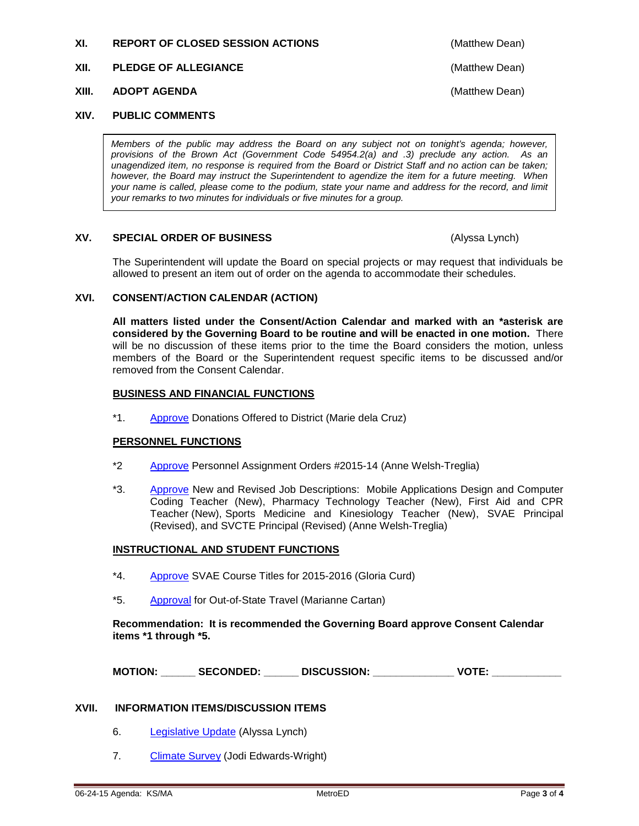#### **XI. REPORT OF CLOSED SESSION ACTIONS** (Matthew Dean)

#### **XII. PLEDGE OF ALLEGIANCE** (Matthew Dean)

#### **XIII. ADOPT AGENDA** (Matthew Dean)

#### **XIV. PUBLIC COMMENTS**

*Members of the public may address the Board on any subject not on tonight's agenda; however, provisions of the Brown Act (Government Code 54954.2(a) and .3) preclude any action. As an unagendized item, no response is required from the Board or District Staff and no action can be taken; however, the Board may instruct the Superintendent to agendize the item for a future meeting. When your name is called, please come to the podium, state your name and address for the record, and limit your remarks to two minutes for individuals or five minutes for a group.*

#### **XV. SPECIAL ORDER OF BUSINESS** (Alyssa Lynch)

The Superintendent will update the Board on special projects or may request that individuals be allowed to present an item out of order on the agenda to accommodate their schedules.

#### **XVI. CONSENT/ACTION CALENDAR (ACTION)**

**All matters listed under the Consent/Action Calendar and marked with an \*asterisk are considered by the Governing Board to be routine and will be enacted in one motion.** There will be no discussion of these items prior to the time the Board considers the motion, unless members of the Board or the Superintendent request specific items to be discussed and/or removed from the Consent Calendar.

#### **BUSINESS AND FINANCIAL FUNCTIONS**

\*1. [Approve](http://fbsd.metroed.net/ksmith/Board_Agenda/06-24-15BoardAgenda/Item1.pdf) Donations Offered to District (Marie dela Cruz)

#### **PERSONNEL FUNCTIONS**

- \*2 [Approve](http://fbsd.metroed.net/ksmith/Board_Agenda/06-24-15BoardAgenda/Item2.pdf) Personnel Assignment Orders #2015-14 (Anne Welsh-Treglia)
- \*3. [Approve](http://fbsd.metroed.net/malaimo/Board_Agenda/06-24-15BoardAgenda/Item3.pdf) New and Revised Job Descriptions: Mobile Applications Design and Computer Coding Teacher (New), Pharmacy Technology Teacher (New), First Aid and CPR Teacher (New), Sports Medicine and Kinesiology Teacher (New), SVAE Principal (Revised), and SVCTE Principal (Revised) (Anne Welsh-Treglia)

#### **INSTRUCTIONAL AND STUDENT FUNCTIONS**

- \*4. [Approve](http://fbsd.metroed.net/ksmith/Board_Agenda/06-24-15BoardAgenda/Item4.pdf) SVAE Course Titles for 2015-2016 (Gloria Curd)
- \*5. [Approval](http://fbsd.metroed.net/ksmith/Board_Agenda/06-24-15BoardAgenda/Item5.pdf) for Out-of-State Travel (Marianne Cartan)

**Recommendation: It is recommended the Governing Board approve Consent Calendar items \*1 through \*5.**

**MOTION: \_\_\_\_\_\_ SECONDED: \_\_\_\_\_\_ DISCUSSION: \_\_\_\_\_\_\_\_\_\_\_\_\_\_ VOTE: \_\_\_\_\_\_\_\_\_\_\_\_**

#### **XVII. INFORMATION ITEMS/DISCUSSION ITEMS**

- 6. [Legislative Update](http://fbsd.metroed.net/malaimo/Board_Agenda/06-24-15BoardAgenda/Item6.pdf) (Alyssa Lynch)
- 7. [Climate Survey](http://fbsd.metroed.net/malaimo/Board_Agenda/06-24-15BoardAgenda/Item7.pdf) (Jodi Edwards-Wright)